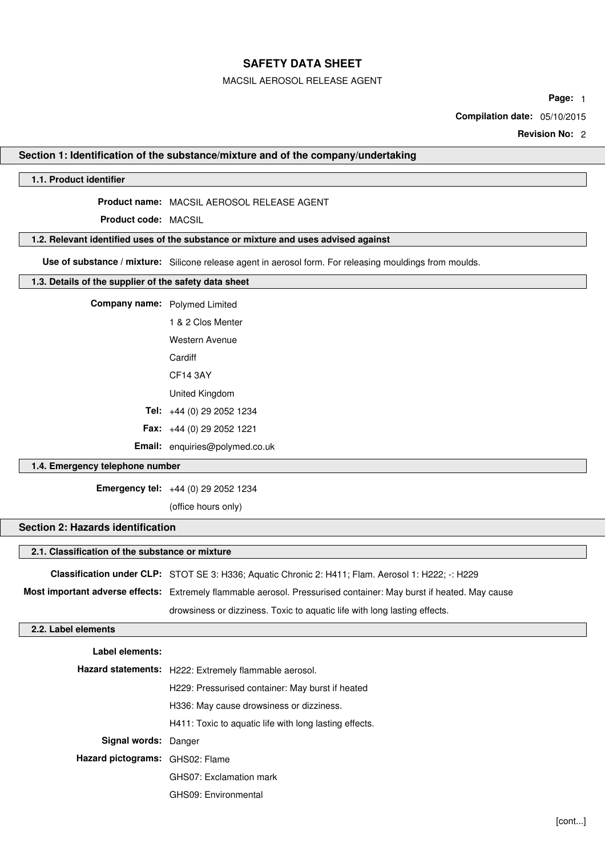MACSIL AEROSOL RELEASE AGENT

**Page:** 1

**Compilation date:** 05/10/2015

**Revision No:** 2

### **Section 1: Identification of the substance/mixture and of the company/undertaking**

### **1.1. Product identifier**

**Product name:** MACSIL AEROSOL RELEASE AGENT

**Product code:** MACSIL

## **1.2. Relevant identified uses of the substance or mixture and uses advised against**

**Use of substance / mixture:** Silicone release agent in aerosol form. For releasing mouldings from moulds.

#### **1.3. Details of the supplier of the safety data sheet**

**Company name:** Polymed Limited

1 & 2 Clos Menter Western Avenue **Cardiff** CF14 3AY

United Kingdom

**Tel:** +44 (0) 29 2052 1234

**Fax:** +44 (0) 29 2052 1221

**Email:** enquiries@polymed.co.uk

## **1.4. Emergency telephone number**

**Emergency tel:** +44 (0) 29 2052 1234

(office hours only)

## **Section 2: Hazards identification**

## **2.1. Classification of the substance or mixture**

**Classification under CLP:** STOT SE 3: H336; Aquatic Chronic 2: H411; Flam. Aerosol 1: H222; -: H229

**Most important adverse effects:** Extremely flammable aerosol. Pressurised container: May burst if heated. May cause drowsiness or dizziness. Toxic to aquatic life with long lasting effects.

## **2.2. Label elements**

| Label elements:                 |                                                        |
|---------------------------------|--------------------------------------------------------|
|                                 | Hazard statements: H222: Extremely flammable aerosol.  |
|                                 | H229: Pressurised container: May burst if heated       |
|                                 | H336: May cause drowsiness or dizziness.               |
|                                 | H411: Toxic to aquatic life with long lasting effects. |
| Signal words: Danger            |                                                        |
| Hazard pictograms: GHS02: Flame |                                                        |
|                                 | GHS07: Exclamation mark                                |
|                                 | GHS09: Environmental                                   |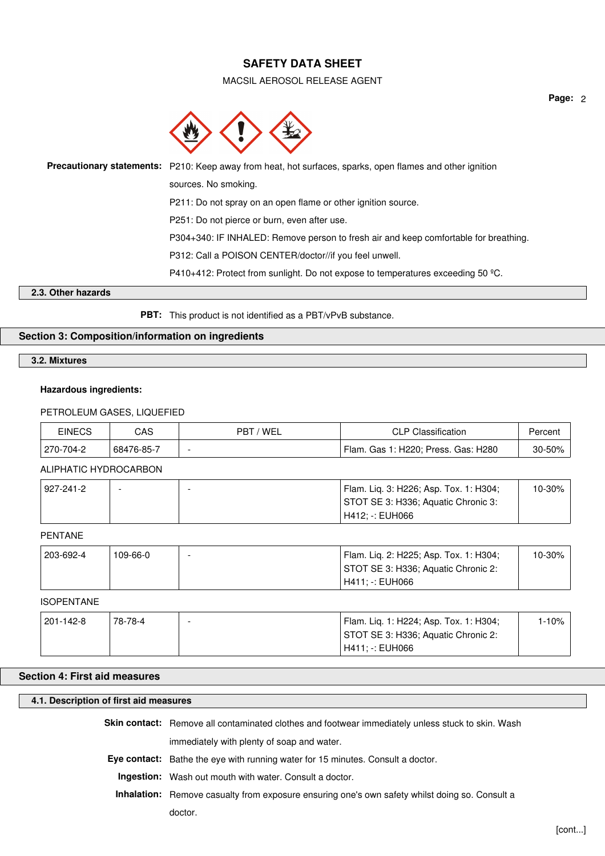MACSIL AEROSOL RELEASE AGENT



| Precautionary statements: P210: Keep away from heat, hot surfaces, sparks, open flames and other ignition |
|-----------------------------------------------------------------------------------------------------------|
| sources. No smoking.                                                                                      |
| P211: Do not spray on an open flame or other ignition source.                                             |
| P251: Do not pierce or burn, even after use.                                                              |
| P304+340: IF INHALED: Remove person to fresh air and keep comfortable for breathing.                      |
| P312: Call a POISON CENTER/doctor//if you feel unwell.                                                    |
| P410+412: Protect from sunlight. Do not expose to temperatures exceeding 50 °C.                           |

## **2.3. Other hazards**

**PBT:** This product is not identified as a PBT/vPvB substance.

## **Section 3: Composition/information on ingredients**

**3.2. Mixtures**

## **Hazardous ingredients:**

### PETROLEUM GASES, LIQUEFIED

| <b>EINECS</b> | CAS        | - / WEL<br><b>PBT</b> | <b>CLP Classification</b>           | Percent |
|---------------|------------|-----------------------|-------------------------------------|---------|
| 270-704-2     | 68476-85-7 | -                     | Flam. Gas 1: H220; Press. Gas: H280 | 30-50%  |

### ALIPHATIC HYDROCARBON

| 927-241-2 |  | Flam. Lig. 3: H226; Asp. Tox. 1: H304; | $10 - 30\%$ |
|-----------|--|----------------------------------------|-------------|
|           |  | STOT SE 3: H336; Aquatic Chronic 3:    |             |
|           |  | H412: -: EUH066                        |             |

### PENTANE

| 203-692-4 | 109-66-0 | Flam. Lig. 2: H225; Asp. Tox. 1: H304; | $10-30\%$ . |
|-----------|----------|----------------------------------------|-------------|
|           |          | STOT SE 3: H336; Aquatic Chronic 2:    |             |
|           |          | H411: -: EUH066                        |             |

#### ISOPENTANE

| 201-142-8 | 78-78-4 | Flam. Lig. 1: H224; Asp. Tox. 1: H304; |  |
|-----------|---------|----------------------------------------|--|
|           |         | STOT SE 3: H336; Aquatic Chronic 2:    |  |
|           |         | H411: -: EUH066                        |  |

## **Section 4: First aid measures**

## **4.1. Description of first aid measures**

**Skin contact:** Remove all contaminated clothes and footwear immediately unless stuck to skin. Wash

immediately with plenty of soap and water.

**Eye contact:** Bathe the eye with running water for 15 minutes. Consult a doctor.

**Ingestion:** Wash out mouth with water. Consult a doctor.

**Inhalation:** Remove casualty from exposure ensuring one's own safety whilst doing so. Consult a

doctor.

**Page:** 2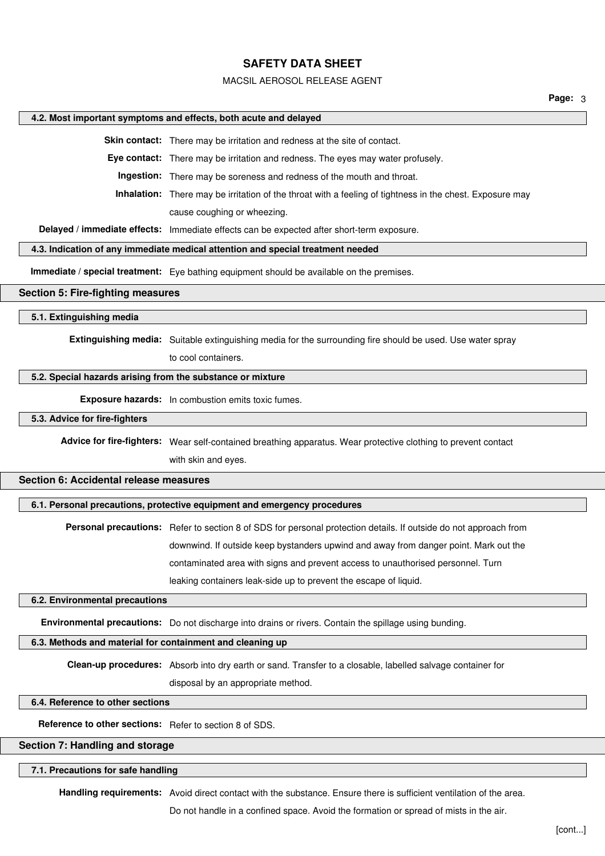#### MACSIL AEROSOL RELEASE AGENT

**Page:** 3

### **4.2. Most important symptoms and effects, both acute and delayed**

**Skin contact:** There may be irritation and redness at the site of contact.

**Eye contact:** There may be irritation and redness. The eyes may water profusely.

**Ingestion:** There may be soreness and redness of the mouth and throat.

**Inhalation:** There may be irritation of the throat with a feeling of tightness in the chest. Exposure may

cause coughing or wheezing.

**Delayed / immediate effects:** Immediate effects can be expected after short-term exposure.

## **4.3. Indication of any immediate medical attention and special treatment needed**

**Immediate / special treatment:** Eye bathing equipment should be available on the premises.

### **Section 5: Fire-fighting measures**

## **5.1. Extinguishing media**

**Extinguishing media:** Suitable extinguishing media for the surrounding fire should be used. Use water spray

to cool containers.

### **5.2. Special hazards arising from the substance or mixture**

**Exposure hazards:** In combustion emits toxic fumes.

#### **5.3. Advice for fire-fighters**

**Advice for fire-fighters:** Wear self-contained breathing apparatus. Wear protective clothing to prevent contact with skin and eyes.

#### **Section 6: Accidental release measures**

## **6.1. Personal precautions, protective equipment and emergency procedures**

**Personal precautions:** Refer to section 8 of SDS for personal protection details. If outside do not approach from downwind. If outside keep bystanders upwind and away from danger point. Mark out the contaminated area with signs and prevent access to unauthorised personnel. Turn leaking containers leak-side up to prevent the escape of liquid.

#### **6.2. Environmental precautions**

**Environmental precautions:** Do not discharge into drains or rivers. Contain the spillage using bunding.

## **6.3. Methods and material for containment and cleaning up**

**Clean-up procedures:** Absorb into dry earth or sand. Transfer to a closable, labelled salvage container for

disposal by an appropriate method.

## **6.4. Reference to other sections**

**Reference to other sections:** Refer to section 8 of SDS.

### **Section 7: Handling and storage**

#### **7.1. Precautions for safe handling**

**Handling requirements:** Avoid direct contact with the substance. Ensure there is sufficient ventilation of the area.

Do not handle in a confined space. Avoid the formation or spread of mists in the air.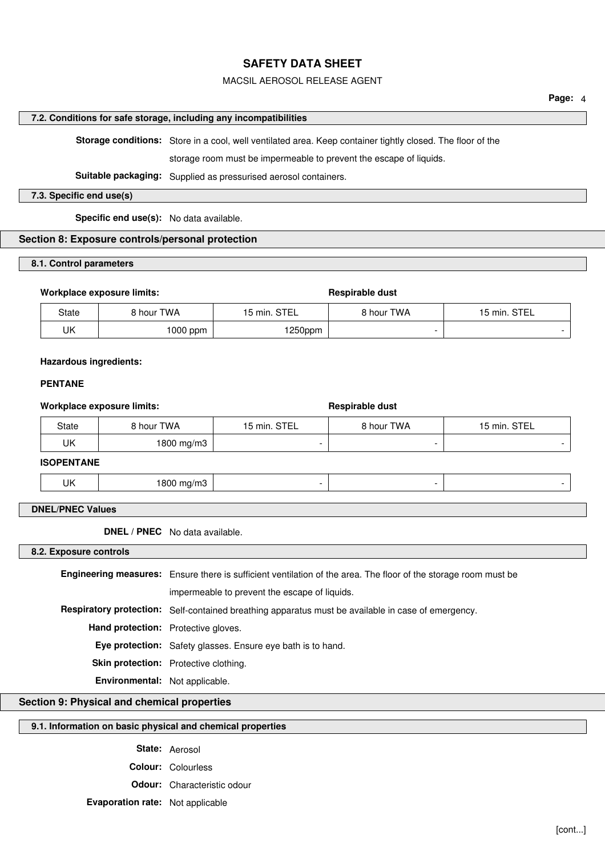## MACSIL AEROSOL RELEASE AGENT

## **7.2. Conditions for safe storage, including any incompatibilities**

**Storage conditions:** Store in a cool, well ventilated area. Keep container tightly closed. The floor of the

storage room must be impermeable to prevent the escape of liquids.

**Suitable packaging:** Supplied as pressurised aerosol containers.

### **7.3. Specific end use(s)**

**Specific end use(s):** No data available.

## **Section 8: Exposure controls/personal protection**

## **8.1. Control parameters**

### Workplace exposure limits: **Respirable dust** Respirable dust

| State | 8 hour TWA | 15 min. STEL | 8 hour TWA | 15 min. STEL |
|-------|------------|--------------|------------|--------------|
| UΚ    | $1000$ ppm | 1250ppm      |            |              |

### **Hazardous ingredients:**

## **PENTANE**

## Workplace exposure limits: **Respirable dust** Respirable dust

| State | ' hour TWA | 15 min. STEL | <b>9 hour TWA</b> | 15 min. STEL |
|-------|------------|--------------|-------------------|--------------|
| UK    | 1800 mg/m3 |              |                   |              |

## **ISOPENTANE**

|  | $\mathbf{H}$<br>$\sim$ | . . |  |  |  |
|--|------------------------|-----|--|--|--|
|--|------------------------|-----|--|--|--|

## **DNEL/PNEC Values**

**DNEL / PNEC** No data available.

**8.2. Exposure controls**

|                                            | <b>Engineering measures:</b> Ensure there is sufficient ventilation of the area. The floor of the storage room must be |  |  |  |
|--------------------------------------------|------------------------------------------------------------------------------------------------------------------------|--|--|--|
|                                            | impermeable to prevent the escape of liquids.                                                                          |  |  |  |
|                                            | Respiratory protection: Self-contained breathing apparatus must be available in case of emergency.                     |  |  |  |
| <b>Hand protection:</b> Protective gloves. |                                                                                                                        |  |  |  |
|                                            | <b>Eye protection:</b> Safety glasses. Ensure eye bath is to hand.                                                     |  |  |  |
|                                            | Skin protection: Protective clothing.                                                                                  |  |  |  |
| Environmental: Not applicable.             |                                                                                                                        |  |  |  |

## **Section 9: Physical and chemical properties**

# **9.1. Information on basic physical and chemical properties**

**State:** Aerosol **Colour:** Colourless

**Odour:** Characteristic odour

**Evaporation rate:** Not applicable

**Page:** 4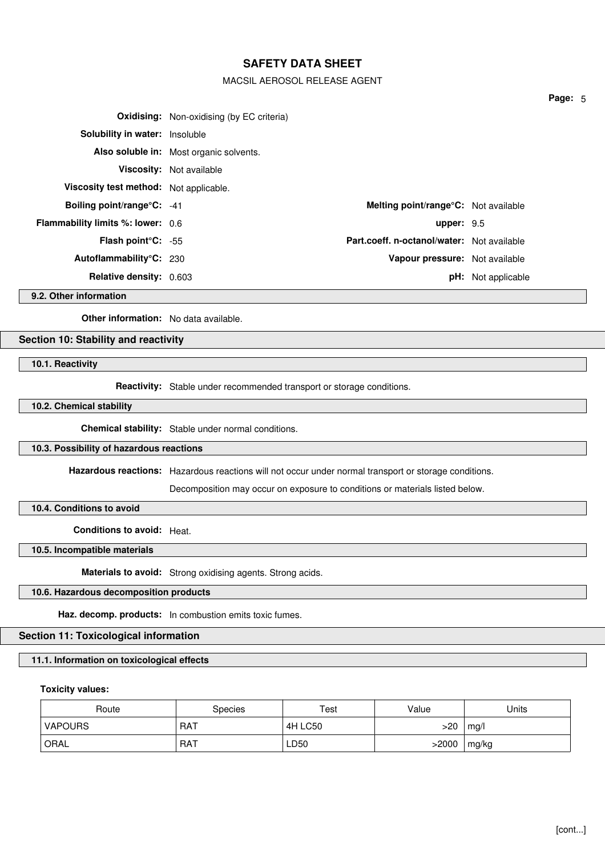## MACSIL AEROSOL RELEASE AGENT

|                                          | <b>Oxidising:</b> Non-oxidising (by EC criteria) |                                            |                           |
|------------------------------------------|--------------------------------------------------|--------------------------------------------|---------------------------|
| <b>Solubility in water:</b> Insoluble    |                                                  |                                            |                           |
|                                          | Also soluble in: Most organic solvents.          |                                            |                           |
|                                          | Viscosity: Not available                         |                                            |                           |
| Viscosity test method: Not applicable.   |                                                  |                                            |                           |
| Boiling point/range°C: -41               |                                                  | Melting point/range°C: Not available       |                           |
| <b>Flammability limits %: lower: 0.6</b> |                                                  | upper: $9.5$                               |                           |
| Flash point°C: -55                       |                                                  | Part.coeff. n-octanol/water: Not available |                           |
| Autoflammability°C: 230                  |                                                  | Vapour pressure: Not available             |                           |
| <b>Relative density: 0.603</b>           |                                                  |                                            | <b>pH:</b> Not applicable |

**9.2. Other information**

**Other information:** No data available.

## **Section 10: Stability and reactivity**

**10.1. Reactivity**

**Reactivity:** Stable under recommended transport or storage conditions.

**10.2. Chemical stability**

**Chemical stability:** Stable under normal conditions.

### **10.3. Possibility of hazardous reactions**

**Hazardous reactions:** Hazardous reactions will not occur under normal transport or storage conditions.

Decomposition may occur on exposure to conditions or materials listed below.

**10.4. Conditions to avoid**

**Conditions to avoid:** Heat.

**10.5. Incompatible materials**

**Materials to avoid:** Strong oxidising agents. Strong acids.

## **10.6. Hazardous decomposition products**

**Haz. decomp. products:** In combustion emits toxic fumes.

## **Section 11: Toxicological information**

## **11.1. Information on toxicological effects**

### **Toxicity values:**

| Route   | <b>Species</b> | Test    | Value | Units |
|---------|----------------|---------|-------|-------|
| VAPOURS | <b>RAT</b>     | 4H LC50 | >20   | mg/l  |
| ORAL    | <b>RAT</b>     | LD50    | >2000 | mg/kg |

**Page:** 5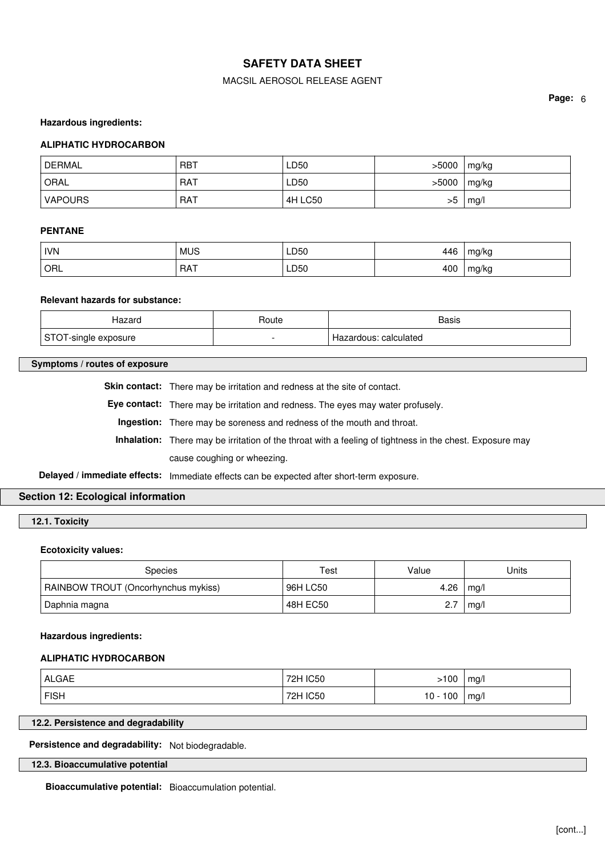## MACSIL AEROSOL RELEASE AGENT

**Page:** 6

### **Hazardous ingredients:**

### **ALIPHATIC HYDROCARBON**

| <b>DERMAL</b> | . RBT      | LD50    | >5000 | mg/kg |
|---------------|------------|---------|-------|-------|
| ORAL          | <b>RAT</b> | LD50    | >5000 | mg/kg |
| VAPOURS       | RAT        | 4H LC50 | >5    | mg/l  |

### **PENTANE**

| <b>IVN</b>         | <b>MUS</b> | LD50<br>__ | 446 | mg/kg |
|--------------------|------------|------------|-----|-------|
| $\overline{O}$ ORL | RAT        | LD50<br>__ | 400 | mg/kg |

### **Relevant hazards for substance:**

| Hazaro                                      | Route                    | Basis                                 |
|---------------------------------------------|--------------------------|---------------------------------------|
| CTO<br>'-single<br>exposure<br><u> JIVI</u> | $\overline{\phantom{0}}$ | calculated <sup>.</sup><br>Hazardous: |

### **Symptoms / routes of exposure**

Skin contact: There may be irritation and redness at the site of contact.

**Eye contact:** There may be irritation and redness. The eyes may water profusely.

**Ingestion:** There may be soreness and redness of the mouth and throat.

**Inhalation:** There may be irritation of the throat with a feeling of tightness in the chest. Exposure may cause coughing or wheezing.

**Delayed / immediate effects:** Immediate effects can be expected after short-term exposure.

## **Section 12: Ecological information**

**12.1. Toxicity**

### **Ecotoxicity values:**

| Species                             | Test     | Value | Units |
|-------------------------------------|----------|-------|-------|
| RAINBOW TROUT (Oncorhynchus mykiss) | 96H LC50 | 4.26  | mq/l  |
| Daphnia magna                       | 48H EC50 | 2.7   | mq/l  |

#### **Hazardous ingredients:**

### **ALIPHATIC HYDROCARBON**

| <b>ALGAE</b> | 72H IC50 | -100       | mg/ |
|--------------|----------|------------|-----|
| <b>FISH</b>  | 72H IC50 | $10 - 100$ | mg/ |

## **12.2. Persistence and degradability**

**Persistence and degradability:** Not biodegradable.

## **12.3. Bioaccumulative potential**

**Bioaccumulative potential:** Bioaccumulation potential.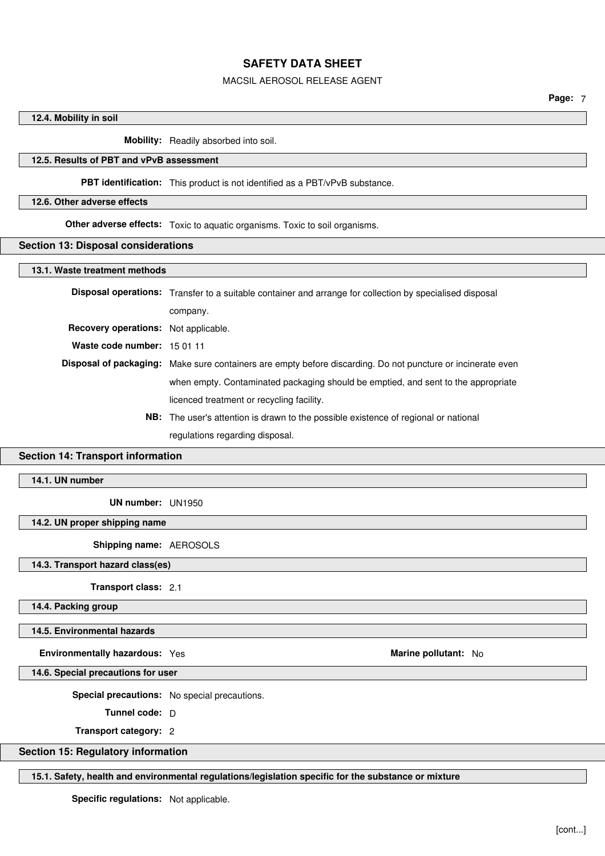### MACSIL AEROSOL RELEASE AGENT

## **12.4. Mobility in soil**

**Mobility:** Readily absorbed into soil.

## **12.5. Results of PBT and vPvB assessment**

## **PBT identification:** This product is not identified as a PBT/vPvB substance.

### **12.6. Other adverse effects**

**Other adverse effects:** Toxic to aquatic organisms. Toxic to soil organisms.

### **Section 13: Disposal considerations**

#### **13.1. Waste treatment methods**

|                                      | <b>Disposal operations:</b> Transfer to a suitable container and arrange for collection by specialised disposal |
|--------------------------------------|-----------------------------------------------------------------------------------------------------------------|
|                                      | company.                                                                                                        |
| Recovery operations: Not applicable. |                                                                                                                 |
| Waste code number: 15 01 11          |                                                                                                                 |
|                                      | Disposal of packaging: Make sure containers are empty before discarding. Do not puncture or incinerate even     |
|                                      | when empty. Contaminated packaging should be emptied, and sent to the appropriate                               |
|                                      | licenced treatment or recycling facility.                                                                       |
|                                      | <b>NB:</b> The user's attention is drawn to the possible existence of regional or national                      |

regulations regarding disposal.

## **Section 14: Transport information**

## **14.1. UN number**

**UN number:** UN1950

## **14.2. UN proper shipping name**

**Shipping name:** AEROSOLS

**14.3. Transport hazard class(es)**

**Transport class:** 2.1

**14.4. Packing group**

### **14.5. Environmental hazards**

**Environmentally hazardous:** Yes **Marine pollutant:** No Marine pollutant: No

**14.6. Special precautions for user**

**Special precautions:** No special precautions.

**Tunnel code:** D

**Transport category:** 2

## **Section 15: Regulatory information**

**15.1. Safety, health and environmental regulations/legislation specific for the substance or mixture**

**Specific regulations:** Not applicable.